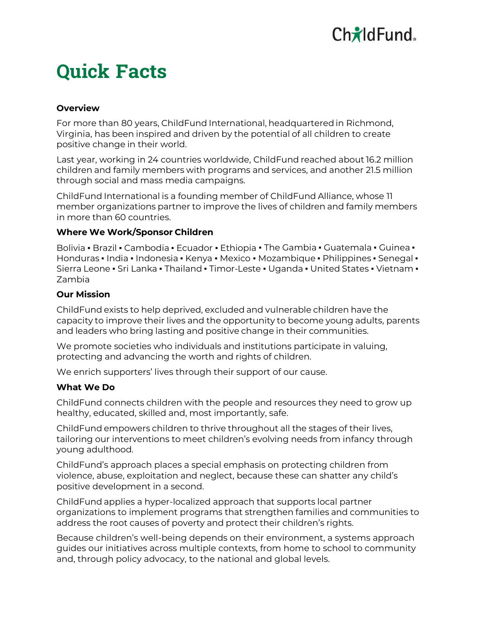# **Quick Facts**

## **Overview**

For more than 80 years, ChildFund International, headquartered in Richmond, Virginia, has been inspired and driven by the potential of all children to create positive change in their world.

Last year, working in 24 countries worldwide, ChildFund reached about 16.2 million children and family members with programs and services, and another 21.5 million through social and mass media campaigns.

ChildFund International is a founding member of ChildFund Alliance, whose 11 member organizations partner to improve the lives of children and family members in more than 60 countries.

#### **Where We Work/Sponsor Children**

Bolivia • Brazil • Cambodia • Ecuador • Ethiopia • The Gambia • Guatemala • Guinea • Honduras ▪ India ▪ Indonesia ▪ Kenya ▪ Mexico ▪ Mozambique ▪ Philippines ▪ Senegal ▪ Sierra Leone • Sri Lanka • Thailand • Timor-Leste • Uganda • United States • Vietnam • Zambia

#### **Our Mission**

ChildFund exists to help deprived, excluded and vulnerable children have the capacity to improve their lives and the opportunity to become young adults, parents and leaders who bring lasting and positive change in their communities.

We promote societies who individuals and institutions participate in valuing, protecting and advancing the worth and rights of children.

We enrich supporters' lives through their support of our cause.

#### **What We Do**

ChildFund connects children with the people and resources they need to grow up healthy, educated, skilled and, most importantly, safe.

ChildFund empowers children to thrive throughout all the stages of their lives, tailoring our interventions to meet children's evolving needs from infancy through young adulthood.

ChildFund's approach places a special emphasis on protecting children from violence, abuse, exploitation and neglect, because these can shatter any child's positive development in a second.

ChildFund applies a hyper-localized approach that supports local partner organizations to implement programs that strengthen families and communities to address the root causes of poverty and protect their children's rights.

Because children's well-being depends on their environment, a systems approach guides our initiatives across multiple contexts, from home to school to community and, through policy advocacy, to the national and global levels.